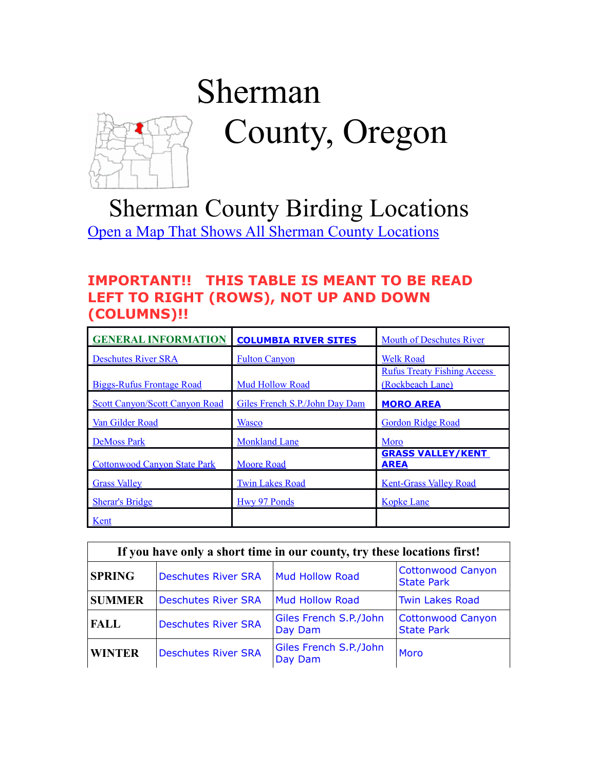# <span id="page-0-0"></span>Sherman County, Oregon

# Sherman County Birding Locations [Open a Map That Shows All Sherman County Locations](https://www.google.com/maps/d/edit?mid=zVl1oTDALjf4.kvXnKg6XNnPU&usp=sharing)

#### **IMPORTANT!! THIS TABLE IS MEANT TO BE READ LEFT TO RIGHT (ROWS), NOT UP AND DOWN (COLUMNS)!!**

| <b>GENERAL INFORMATION</b>            | <b>COLUMBIA RIVER SITES</b>    | <b>Mouth of Deschutes River</b>                        |
|---------------------------------------|--------------------------------|--------------------------------------------------------|
| <b>Deschutes River SRA</b>            | <b>Fulton Canyon</b>           | <b>Welk Road</b>                                       |
| <b>Biggs-Rufus Frontage Road</b>      | <b>Mud Hollow Road</b>         | <b>Rufus Treaty Fishing Access</b><br>(Rockbeach Lane) |
| <b>Scott Canyon/Scott Canyon Road</b> | Giles French S.P./John Day Dam | <b>MORO AREA</b>                                       |
| Van Gilder Road                       | <b>Wasco</b>                   | <b>Gordon Ridge Road</b>                               |
| <b>DeMoss Park</b>                    | <b>Monkland Lane</b>           | Moro                                                   |
| <b>Cottonwood Canyon State Park</b>   | <b>Moore Road</b>              | <b>GRASS VALLEY/KENT</b><br><b>AREA</b>                |
| <b>Grass Valley</b>                   | <b>Twin Lakes Road</b>         | <b>Kent-Grass Valley Road</b>                          |
| <b>Sherar's Bridge</b>                | Hwy 97 Ponds                   | <b>Kopke Lane</b>                                      |
| Kent                                  |                                |                                                        |

| If you have only a short time in our county, try these locations first! |                            |                                   |                                               |  |
|-------------------------------------------------------------------------|----------------------------|-----------------------------------|-----------------------------------------------|--|
| <b>SPRING</b>                                                           | <b>Deschutes River SRA</b> | <b>Mud Hollow Road</b>            | <b>Cottonwood Canyon</b><br><b>State Park</b> |  |
| <b>SUMMER</b>                                                           | <b>Deschutes River SRA</b> | <b>Mud Hollow Road</b>            | <b>Twin Lakes Road</b>                        |  |
| <b>FALL</b>                                                             | <b>Deschutes River SRA</b> | Giles French S.P./John<br>Day Dam | Cottonwood Canyon<br><b>State Park</b>        |  |
| <b>WINTER</b>                                                           | <b>Deschutes River SRA</b> | Giles French S.P./John<br>Day Dam | Moro                                          |  |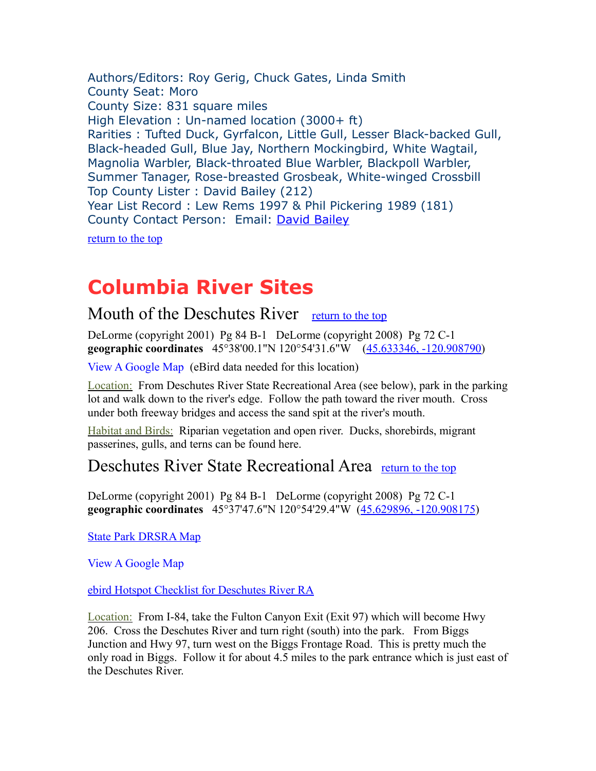<span id="page-1-3"></span>Authors/Editors: Roy Gerig, Chuck Gates, Linda Smith County Seat: Moro County Size: 831 square miles High Elevation : Un-named location (3000+ ft) Rarities : Tufted Duck, Gyrfalcon, Little Gull, Lesser Black-backed Gull, Black-headed Gull, Blue Jay, Northern Mockingbird, White Wagtail, Magnolia Warbler, Black-throated Blue Warbler, Blackpoll Warbler, Summer Tanager, Rose-breasted Grosbeak, White-winged Crossbill Top County Lister : David Bailey (212) Year List Record : Lew Rems 1997 & Phil Pickering 1989 (181) County Contact Person: Email: [David Bailey](mailto:davidcbaileyoregon@gmail.com)

[return to the top](#page-0-0)

## <span id="page-1-2"></span>**Columbia River Sites**

#### <span id="page-1-1"></span>Mouth of the Deschutes River [return to the top](#page-0-0)

DeLorme (copyright 2001) Pg 84 B-1 DeLorme (copyright 2008) Pg 72 C-1 **geographic coordinates** 45°38'00.1"N 120°54'31.6"W [\(45.633346, -120.908790\)](https://www.google.com/maps/place/45%C2%B038)

[View A Google Map](http://maps.google.com/maps/ms?hl=en&ie=UTF8&msa=0&msid=108036481085398338899.00046ccf6694c7a9b02f2&ll=45.655088,-120.710564&spn=0.412276,1.054001&z=11) (eBird data needed for this location)

Location: From Deschutes River State Recreational Area (see below), park in the parking lot and walk down to the river's edge. Follow the path toward the river mouth. Cross under both freeway bridges and access the sand spit at the river's mouth.

Habitat and Birds: Riparian vegetation and open river. Ducks, shorebirds, migrant passerines, gulls, and terns can be found here.

#### <span id="page-1-0"></span>Deschutes River State Recreational Area [return to the top](#page-0-0)

DeLorme (copyright 2001) Pg 84 B-1 DeLorme (copyright 2008) Pg 72 C-1 **geographic coordinates** 45°37'47.6"N 120°54'29.4"W [\(45.629896, -120.908175\)](https://www.google.com/maps/place/45%C2%B037)

[State Park DRSRA Map](http://oregonstateparks.org/index.cfm?do=parkPage.dsp_parkPage&parkId=29) 

[View A Google Map](http://maps.google.com/maps/ms?hl=en&ie=UTF8&msa=0&msid=108036481085398338899.00046ccf6694c7a9b02f2&ll=45.655088,-120.710564&spn=0.412276,1.054001&z=11)

#### [ebird Hotspot Checklist for Deschutes River RA](http://ebird.org/ebird/hotspot/L285645)

Location: From I-84, take the Fulton Canyon Exit (Exit 97) which will become Hwy 206. Cross the Deschutes River and turn right (south) into the park. From Biggs Junction and Hwy 97, turn west on the Biggs Frontage Road. This is pretty much the only road in Biggs. Follow it for about 4.5 miles to the park entrance which is just east of the Deschutes River.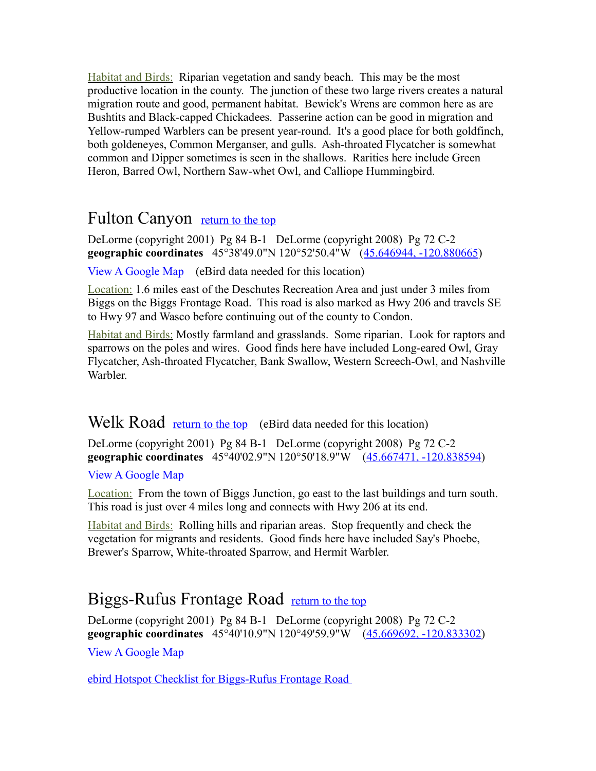Habitat and Birds: Riparian vegetation and sandy beach. This may be the most productive location in the county. The junction of these two large rivers creates a natural migration route and good, permanent habitat. Bewick's Wrens are common here as are Bushtits and Black-capped Chickadees. Passerine action can be good in migration and Yellow-rumped Warblers can be present year-round. It's a good place for both goldfinch, both goldeneyes, Common Merganser, and gulls. Ash-throated Flycatcher is somewhat common and Dipper sometimes is seen in the shallows. Rarities here include Green Heron, Barred Owl, Northern Saw-whet Owl, and Calliope Hummingbird.

#### <span id="page-2-2"></span>Fulton Canyon [return to the top](#page-0-0)

DeLorme (copyright 2001) Pg 84 B-1 DeLorme (copyright 2008) Pg 72 C-2 **geographic coordinates** 45°38'49.0"N 120°52'50.4"W [\(45.646944, -120.880665\)](https://www.google.com/maps/place/45%C2%B038)

[View A Google Map](http://maps.google.com/maps/ms?hl=en&ie=UTF8&msa=0&msid=108036481085398338899.00046ccf6694c7a9b02f2&ll=45.655088,-120.710564&spn=0.412276,1.054001&z=11) (eBird data needed for this location)

Location: 1.6 miles east of the Deschutes Recreation Area and just under 3 miles from Biggs on the Biggs Frontage Road. This road is also marked as Hwy 206 and travels SE to Hwy 97 and Wasco before continuing out of the county to Condon.

Habitat and Birds: Mostly farmland and grasslands. Some riparian. Look for raptors and sparrows on the poles and wires. Good finds here have included Long-eared Owl, Gray Flycatcher, Ash-throated Flycatcher, Bank Swallow, Western Screech-Owl, and Nashville Warbler.

#### <span id="page-2-1"></span>Welk Road [return to the top](#page-0-0) (eBird data needed for this location)

DeLorme (copyright 2001) Pg 84 B-1 DeLorme (copyright 2008) Pg 72 C-2 **geographic coordinates** 45°40'02.9"N 120°50'18.9"W [\(45.667471, -120.838594\)](https://www.google.com/maps/place/45%C2%B040)

#### [View A Google Map](http://maps.google.com/maps/ms?hl=en&ie=UTF8&msa=0&msid=108036481085398338899.00046ccf6694c7a9b02f2&ll=45.655088,-120.710564&spn=0.412276,1.054001&z=11)

Location: From the town of Biggs Junction, go east to the last buildings and turn south. This road is just over 4 miles long and connects with Hwy 206 at its end.

Habitat and Birds: Rolling hills and riparian areas. Stop frequently and check the vegetation for migrants and residents. Good finds here have included Say's Phoebe, Brewer's Sparrow, White-throated Sparrow, and Hermit Warbler.

## <span id="page-2-0"></span>Biggs-Rufus Frontage Road [return to the top](#page-0-0)

DeLorme (copyright 2001) Pg 84 B-1 DeLorme (copyright 2008) Pg 72 C-2 **geographic coordinates** 45°40'10.9"N 120°49'59.9"W [\(45.669692, -120.833302\)](https://www.google.com/maps/place/45%C2%B040) [View A Google Map](http://maps.google.com/maps/ms?hl=en&ie=UTF8&msa=0&msid=108036481085398338899.00046ccf6694c7a9b02f2&ll=45.655088,-120.710564&spn=0.412276,1.054001&z=11)

[ebird Hotspot Checklist for Biggs-Rufus Frontage Road](http://ebird.org/ebird/hotspot/L1284043)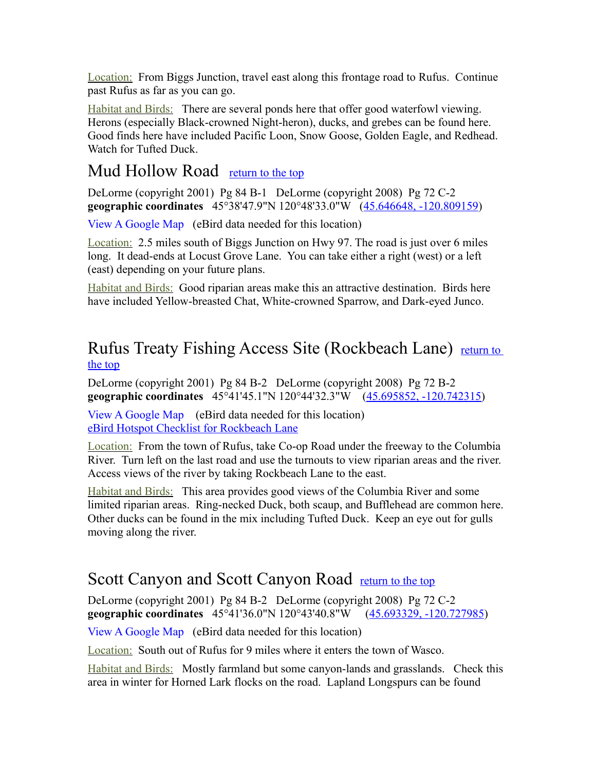Location: From Biggs Junction, travel east along this frontage road to Rufus. Continue past Rufus as far as you can go.

Habitat and Birds: There are several ponds here that offer good waterfowl viewing. Herons (especially Black-crowned Night-heron), ducks, and grebes can be found here. Good finds here have included Pacific Loon, Snow Goose, Golden Eagle, and Redhead. Watch for Tufted Duck.

#### <span id="page-3-0"></span>Mud Hollow Road [return to the top](#page-0-0)

DeLorme (copyright 2001) Pg 84 B-1 DeLorme (copyright 2008) Pg 72 C-2 **geographic coordinates** 45°38'47.9"N 120°48'33.0"W [\(45.646648, -120.809159\)](https://www.google.com/maps/place/45%C2%B038)

[View A Google Map](http://maps.google.com/maps/ms?hl=en&ie=UTF8&msa=0&msid=108036481085398338899.00046ccf6694c7a9b02f2&ll=45.655088,-120.710564&spn=0.412276,1.054001&z=11) (eBird data needed for this location)

Location: 2.5 miles south of Biggs Junction on Hwy 97. The road is just over 6 miles long. It dead-ends at Locust Grove Lane. You can take either a right (west) or a left (east) depending on your future plans.

Habitat and Birds: Good riparian areas make this an attractive destination. Birds here have included Yellow-breasted Chat, White-crowned Sparrow, and Dark-eyed Junco.

#### <span id="page-3-2"></span>Rufus Treaty Fishing Access Site (Rockbeach Lane) return to [the top](#page-0-0)

DeLorme (copyright 2001) Pg 84 B-2 DeLorme (copyright 2008) Pg 72 B-2 **geographic coordinates** 45°41'45.1"N 120°44'32.3"W [\(45.695852, -120.742315\)](https://www.google.com/maps/place/45%C2%B041)

[View A Google Map](http://maps.google.com/maps/ms?hl=en&ie=UTF8&msa=0&msid=108036481085398338899.00046ccf6694c7a9b02f2&ll=45.655088,-120.710564&spn=0.412276,1.054001&z=11) (eBird data needed for this location) [eBird Hotspot Checklist for Rockbeach Lane](http://ebird.org/ebird/view/checklist/S31678625)

Location: From the town of Rufus, take Co-op Road under the freeway to the Columbia River. Turn left on the last road and use the turnouts to view riparian areas and the river. Access views of the river by taking Rockbeach Lane to the east.

Habitat and Birds: This area provides good views of the Columbia River and some limited riparian areas. Ring-necked Duck, both scaup, and Bufflehead are common here. Other ducks can be found in the mix including Tufted Duck. Keep an eye out for gulls moving along the river.

## <span id="page-3-1"></span>Scott Canyon and Scott Canyon Road [return to the top](#page-0-0)

DeLorme (copyright 2001) Pg 84 B-2 DeLorme (copyright 2008) Pg 72 C-2 **geographic coordinates** 45°41'36.0"N 120°43'40.8"W [\(45.693329, -120.727985\)](https://www.google.com/maps/place/45%C2%B041)

[View A Google Map](http://maps.google.com/maps/ms?hl=en&ie=UTF8&msa=0&msid=108036481085398338899.00046ccf6694c7a9b02f2&ll=45.655088,-120.710564&spn=0.412276,1.054001&z=11) (eBird data needed for this location)

Location: South out of Rufus for 9 miles where it enters the town of Wasco.

Habitat and Birds: Mostly farmland but some canyon-lands and grasslands. Check this area in winter for Horned Lark flocks on the road. Lapland Longspurs can be found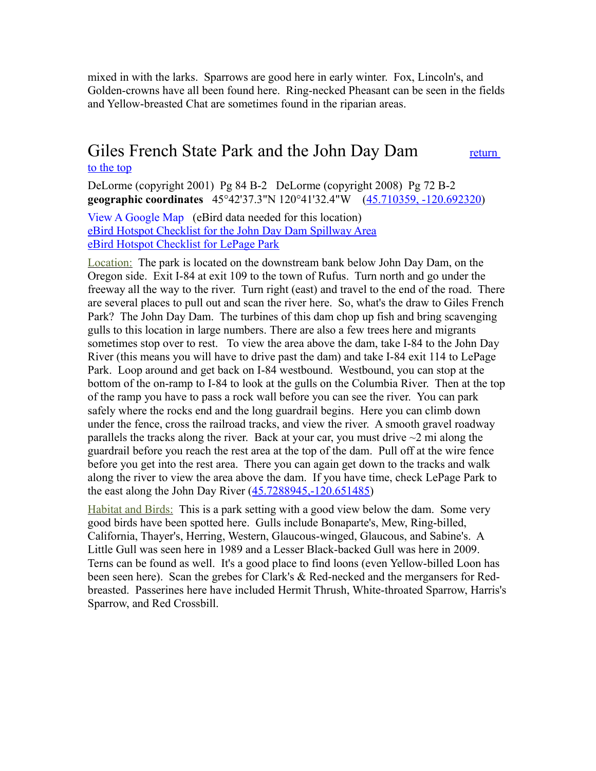mixed in with the larks. Sparrows are good here in early winter. Fox, Lincoln's, and Golden-crowns have all been found here. Ring-necked Pheasant can be seen in the fields and Yellow-breasted Chat are sometimes found in the riparian areas.

#### <span id="page-4-0"></span>Giles French State Park and the John Day Dam return [to the top](#page-0-0)

DeLorme (copyright 2001) Pg 84 B-2 DeLorme (copyright 2008) Pg 72 B-2 **geographic coordinates** 45°42'37.3"N 120°41'32.4"W [\(45.710359, -120.692320\)](https://www.google.com/maps/place/45%C2%B042)

[View A Google Map](http://maps.google.com/maps/ms?hl=en&ie=UTF8&msa=0&msid=108036481085398338899.00046ccf6694c7a9b02f2&ll=45.655088,-120.710564&spn=0.412276,1.054001&z=11) (eBird data needed for this location) [eBird Hotspot Checklist for the John Day Dam Spillway Area](http://ebird.org/ebird/hotspot/L811693?yr=all&m=&rank=mrec) [eBird Hotspot Checklist for LePage Park](http://ebird.org/ebird/view/checklist/S31682612)

Location: The park is located on the downstream bank below John Day Dam, on the Oregon side. Exit I-84 at exit 109 to the town of Rufus. Turn north and go under the freeway all the way to the river. Turn right (east) and travel to the end of the road. There are several places to pull out and scan the river here. So, what's the draw to Giles French Park? The John Day Dam. The turbines of this dam chop up fish and bring scavenging gulls to this location in large numbers. There are also a few trees here and migrants sometimes stop over to rest. To view the area above the dam, take I-84 to the John Day River (this means you will have to drive past the dam) and take I-84 exit 114 to LePage Park. Loop around and get back on I-84 westbound. Westbound, you can stop at the bottom of the on-ramp to I-84 to look at the gulls on the Columbia River. Then at the top of the ramp you have to pass a rock wall before you can see the river. You can park safely where the rocks end and the long guardrail begins. Here you can climb down under the fence, cross the railroad tracks, and view the river. A smooth gravel roadway parallels the tracks along the river. Back at your car, you must drive  $\sim$ 2 mi along the guardrail before you reach the rest area at the top of the dam. Pull off at the wire fence before you get into the rest area. There you can again get down to the tracks and walk along the river to view the area above the dam. If you have time, check LePage Park to the east along the John Day River [\(45.7288945,-120.651485\)](https://www.google.com/maps/place/45%C2%B043)

<span id="page-4-1"></span>Habitat and Birds: This is a park setting with a good view below the dam. Some very good birds have been spotted here. Gulls include Bonaparte's, Mew, Ring-billed, California, Thayer's, Herring, Western, Glaucous-winged, Glaucous, and Sabine's. A Little Gull was seen here in 1989 and a Lesser Black-backed Gull was here in 2009. Terns can be found as well. It's a good place to find loons (even Yellow-billed Loon has been seen here). Scan the grebes for Clark's & Red-necked and the mergansers for Redbreasted. Passerines here have included Hermit Thrush, White-throated Sparrow, Harris's Sparrow, and Red Crossbill.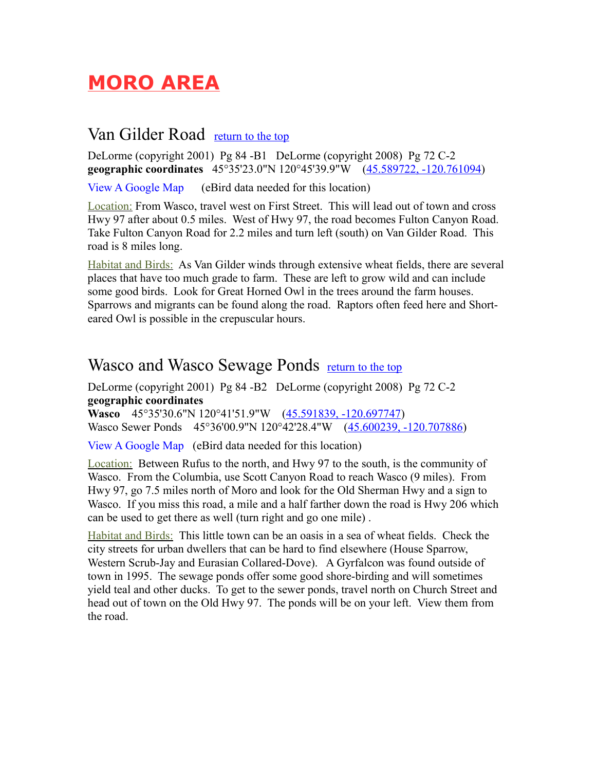# <span id="page-5-1"></span>**MORO AREA**

#### Van Gilder Road [return to the top](#page-0-0)

DeLorme (copyright 2001) Pg 84 -B1 DeLorme (copyright 2008) Pg 72 C-2 **geographic coordinates** 45°35'23.0"N 120°45'39.9"W [\(45.589722, -120.761094\)](https://www.google.com/maps/place/45%C2%B035)

[View A Google Map](http://maps.google.com/maps/ms?hl=en&ie=UTF8&msa=0&msid=108036481085398338899.00046cd06c38625be333e&ll=45.522947,-120.717087&spn=0.413244,1.054001&z=11) (eBird data needed for this location)

Location: From Wasco, travel west on First Street. This will lead out of town and cross Hwy 97 after about 0.5 miles. West of Hwy 97, the road becomes Fulton Canyon Road. Take Fulton Canyon Road for 2.2 miles and turn left (south) on Van Gilder Road. This road is 8 miles long.

Habitat and Birds: As Van Gilder winds through extensive wheat fields, there are several places that have too much grade to farm. These are left to grow wild and can include some good birds. Look for Great Horned Owl in the trees around the farm houses. Sparrows and migrants can be found along the road. Raptors often feed here and Shorteared Owl is possible in the crepuscular hours.

#### <span id="page-5-0"></span>Wasco and Wasco Sewage Ponds [return to the top](#page-0-0)

DeLorme (copyright 2001) Pg 84 -B2 DeLorme (copyright 2008) Pg 72 C-2 **geographic coordinates**

**Wasco** 45°35'30.6"N 120°41'51.9"W [\(45.591839, -120.697747\)](https://www.google.com/maps/place/45%C2%B035) Wasco Sewer Ponds 45°36'00.9"N 120°42'28.4"W [\(45.600239, -120.707886\)](https://www.google.com/maps/place/45%C2%B036)

[View A Google Map](http://maps.google.com/maps/ms?hl=en&ie=UTF8&msa=0&msid=108036481085398338899.00046cd06c38625be333e&ll=45.522947,-120.717087&spn=0.413244,1.054001&z=11) (eBird data needed for this location)

Location: Between Rufus to the north, and Hwy 97 to the south, is the community of Wasco. From the Columbia, use Scott Canyon Road to reach Wasco (9 miles). From Hwy 97, go 7.5 miles north of Moro and look for the Old Sherman Hwy and a sign to Wasco. If you miss this road, a mile and a half farther down the road is Hwy 206 which can be used to get there as well (turn right and go one mile) .

Habitat and Birds: This little town can be an oasis in a sea of wheat fields. Check the city streets for urban dwellers that can be hard to find elsewhere (House Sparrow, Western Scrub-Jay and Eurasian Collared-Dove). A Gyrfalcon was found outside of town in 1995. The sewage ponds offer some good shore-birding and will sometimes yield teal and other ducks. To get to the sewer ponds, travel north on Church Street and head out of town on the Old Hwy 97. The ponds will be on your left. View them from the road.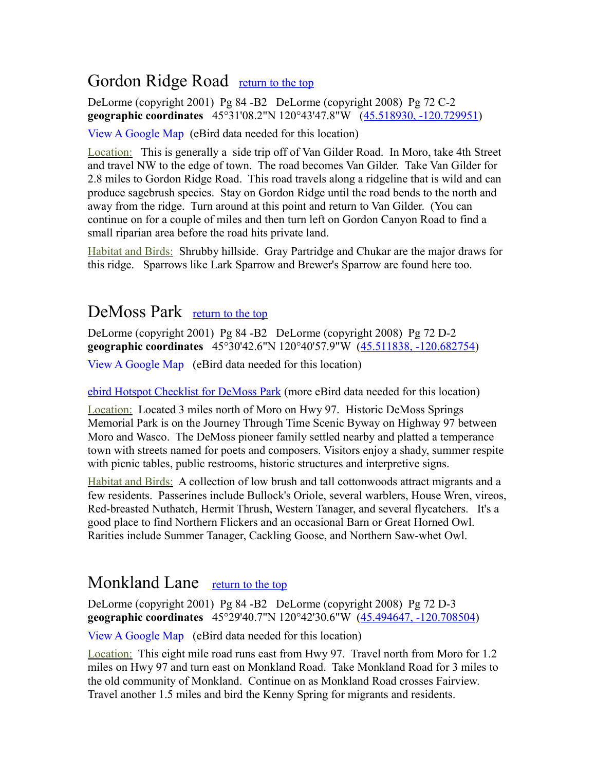## <span id="page-6-2"></span>Gordon Ridge Road [return to the top](#page-0-0)

DeLorme (copyright 2001) Pg 84 -B2 DeLorme (copyright 2008) Pg 72 C-2 **geographic coordinates** 45°31'08.2"N 120°43'47.8"W [\(45.518930, -120.729951\)](https://www.google.com/maps/place/45%C2%B031)

[View A Google Map](http://maps.google.com/maps/ms?hl=en&ie=UTF8&msa=0&msid=108036481085398338899.00046cd06c38625be333e&ll=45.522947,-120.717087&spn=0.413244,1.054001&z=11) (eBird data needed for this location)

Location: This is generally a side trip off of Van Gilder Road. In Moro, take 4th Street and travel NW to the edge of town. The road becomes Van Gilder. Take Van Gilder for 2.8 miles to Gordon Ridge Road. This road travels along a ridgeline that is wild and can produce sagebrush species. Stay on Gordon Ridge until the road bends to the north and away from the ridge. Turn around at this point and return to Van Gilder. (You can continue on for a couple of miles and then turn left on Gordon Canyon Road to find a small riparian area before the road hits private land.

Habitat and Birds: Shrubby hillside. Gray Partridge and Chukar are the major draws for this ridge. Sparrows like Lark Sparrow and Brewer's Sparrow are found here too.

#### <span id="page-6-1"></span>DeMoss Park [return to the top](#page-0-0)

DeLorme (copyright 2001) Pg 84 -B2 DeLorme (copyright 2008) Pg 72 D-2 **geographic coordinates** 45°30'42.6"N 120°40'57.9"W [\(45.511838, -120.682754\)](https://www.google.com/maps/place/45%C2%B030)

[View A Google Map](http://maps.google.com/maps/ms?hl=en&ie=UTF8&msa=0&msid=108036481085398338899.00046cd06c38625be333e&ll=45.522947,-120.717087&spn=0.413244,1.054001&z=11) (eBird data needed for this location)

[ebird Hotspot Checklist for DeMoss Park](http://ebird.org/ebird/hotspot/L1769893) (more eBird data needed for this location)

Location: Located 3 miles north of Moro on Hwy 97. Historic DeMoss Springs Memorial Park is on the Journey Through Time Scenic Byway on Highway 97 between Moro and Wasco. The DeMoss pioneer family settled nearby and platted a temperance town with streets named for poets and composers. Visitors enjoy a shady, summer respite with picnic tables, public restrooms, historic structures and interpretive signs.

Habitat and Birds: A collection of low brush and tall cottonwoods attract migrants and a few residents. Passerines include Bullock's Oriole, several warblers, House Wren, vireos, Red-breasted Nuthatch, Hermit Thrush, Western Tanager, and several flycatchers. It's a good place to find Northern Flickers and an occasional Barn or Great Horned Owl. Rarities include Summer Tanager, Cackling Goose, and Northern Saw-whet Owl.

## <span id="page-6-0"></span>Monkland Lane [return to the top](#page-0-0)

DeLorme (copyright 2001) Pg 84 -B2 DeLorme (copyright 2008) Pg 72 D-3 **geographic coordinates** 45°29'40.7"N 120°42'30.6"W [\(45.494647, -120.708504\)](https://www.google.com/maps/place/45%C2%B029)

[View A Google Map](http://maps.google.com/maps/ms?hl=en&ie=UTF8&msa=0&msid=108036481085398338899.00046cd06c38625be333e&ll=45.522947,-120.717087&spn=0.413244,1.054001&z=11) (eBird data needed for this location)

Location: This eight mile road runs east from Hwy 97. Travel north from Moro for 1.2 miles on Hwy 97 and turn east on Monkland Road. Take Monkland Road for 3 miles to the old community of Monkland. Continue on as Monkland Road crosses Fairview. Travel another 1.5 miles and bird the Kenny Spring for migrants and residents.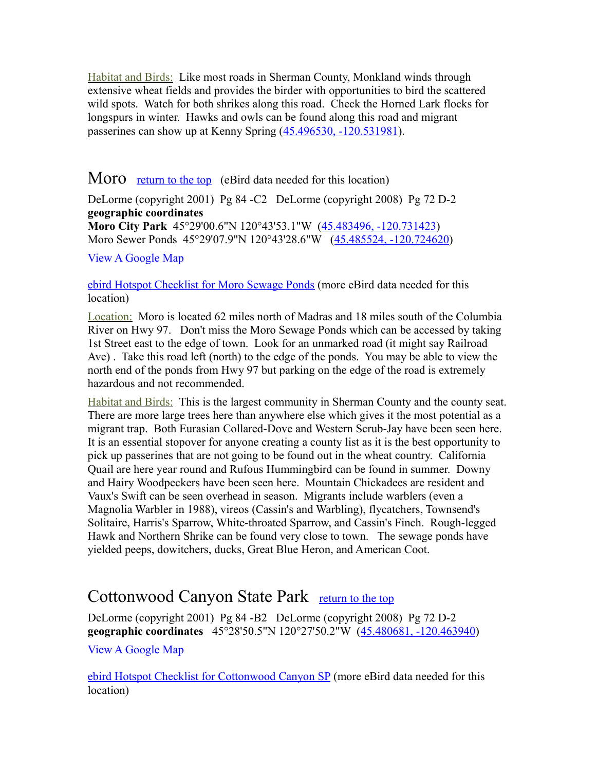Habitat and Birds: Like most roads in Sherman County, Monkland winds through extensive wheat fields and provides the birder with opportunities to bird the scattered wild spots. Watch for both shrikes along this road. Check the Horned Lark flocks for longspurs in winter. Hawks and owls can be found along this road and migrant passerines can show up at Kenny Spring [\(45.496530, -120.531981\)](https://www.google.com/maps/place/45%C2%B029).

#### <span id="page-7-0"></span>Moro [return to the top](#page-0-0) (eBird data needed for this location)

DeLorme (copyright 2001) Pg 84 -C2 DeLorme (copyright 2008) Pg 72 D-2 **geographic coordinates Moro City Park** 45°29'00.6"N 120°43'53.1"W [\(45.483496, -120.731423\)](https://www.google.com/maps/place/45%C2%B029) Moro Sewer Ponds 45°29'07.9"N 120°43'28.6"W [\(45.485524, -120.724620\)](https://www.google.com/maps/place/45%C2%B029)

[View A Google Map](http://maps.google.com/maps/ms?hl=en&ie=UTF8&msa=0&msid=108036481085398338899.00046cd06c38625be333e&ll=45.522947,-120.717087&spn=0.413244,1.054001&z=11)

#### [ebird Hotspot Checklist for Moro Sewage Ponds](http://ebird.org/ebird/hotspot/L1660601) (more eBird data needed for this location)

Location: Moro is located 62 miles north of Madras and 18 miles south of the Columbia River on Hwy 97. Don't miss the Moro Sewage Ponds which can be accessed by taking 1st Street east to the edge of town. Look for an unmarked road (it might say Railroad Ave) . Take this road left (north) to the edge of the ponds. You may be able to view the north end of the ponds from Hwy 97 but parking on the edge of the road is extremely hazardous and not recommended.

Habitat and Birds: This is the largest community in Sherman County and the county seat. There are more large trees here than anywhere else which gives it the most potential as a migrant trap. Both Eurasian Collared-Dove and Western Scrub-Jay have been seen here. It is an essential stopover for anyone creating a county list as it is the best opportunity to pick up passerines that are not going to be found out in the wheat country. California Quail are here year round and Rufous Hummingbird can be found in summer. Downy and Hairy Woodpeckers have been seen here. Mountain Chickadees are resident and Vaux's Swift can be seen overhead in season. Migrants include warblers (even a Magnolia Warbler in 1988), vireos (Cassin's and Warbling), flycatchers, Townsend's Solitaire, Harris's Sparrow, White-throated Sparrow, and Cassin's Finch. Rough-legged Hawk and Northern Shrike can be found very close to town. The sewage ponds have yielded peeps, dowitchers, ducks, Great Blue Heron, and American Coot.

#### <span id="page-7-1"></span>Cottonwood Canyon State Park [return to the top](#page-0-0)

DeLorme (copyright 2001) Pg 84 -B2 DeLorme (copyright 2008) Pg 72 D-2 **geographic coordinates** 45°28'50.5"N 120°27'50.2"W [\(45.480681, -120.463940\)](https://www.google.com/maps/place/45%C2%B028) [View A Google Map](http://maps.google.com/maps/ms?hl=en&ie=UTF8&msa=0&msid=108036481085398338899.00046cd06c38625be333e&ll=45.522947,-120.717087&spn=0.413244,1.054001&z=11) 

[ebird Hotspot Checklist for Cottonwood Canyon SP](http://ebird.org/ebird/hotspot/L1233406) (more eBird data needed for this location)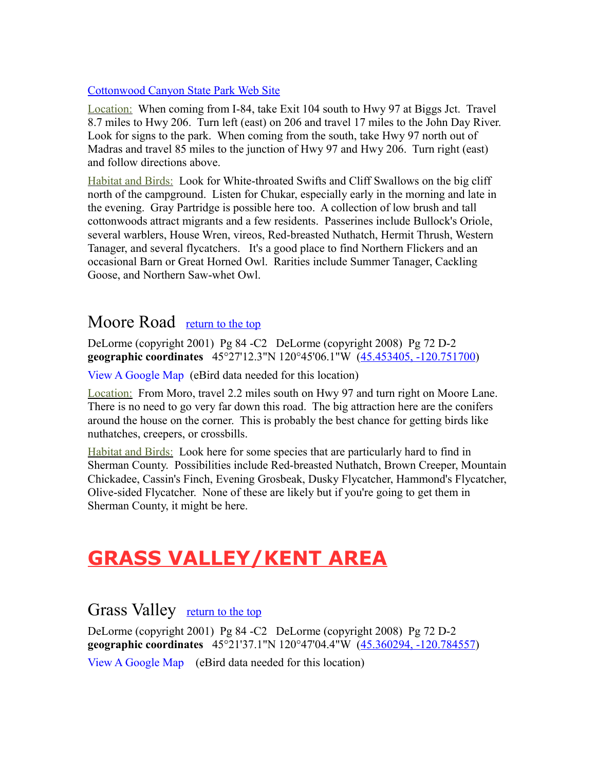#### [Cottonwood Canyon State Park Web Site](http://www.oregonstateparks.org/index.cfm?do=parkPage.dsp_parkPage&parkId=195)

Location: When coming from I-84, take Exit 104 south to Hwy 97 at Biggs Jct. Travel 8.7 miles to Hwy 206. Turn left (east) on 206 and travel 17 miles to the John Day River. Look for signs to the park. When coming from the south, take Hwy 97 north out of Madras and travel 85 miles to the junction of Hwy 97 and Hwy 206. Turn right (east) and follow directions above.

Habitat and Birds: Look for White-throated Swifts and Cliff Swallows on the big cliff north of the campground. Listen for Chukar, especially early in the morning and late in the evening. Gray Partridge is possible here too. A collection of low brush and tall cottonwoods attract migrants and a few residents. Passerines include Bullock's Oriole, several warblers, House Wren, vireos, Red-breasted Nuthatch, Hermit Thrush, Western Tanager, and several flycatchers. It's a good place to find Northern Flickers and an occasional Barn or Great Horned Owl. Rarities include Summer Tanager, Cackling Goose, and Northern Saw-whet Owl.

#### <span id="page-8-2"></span>Moore Road [return to the top](#page-0-0)

DeLorme (copyright 2001) Pg 84 -C2 DeLorme (copyright 2008) Pg 72 D-2 **geographic coordinates** 45°27'12.3"N 120°45'06.1"W [\(45.453405, -120.751700\)](https://www.google.com/maps/place/45%C2%B027)

[View A Google Map](http://maps.google.com/maps/ms?hl=en&ie=UTF8&msa=0&msid=108036481085398338899.00046cd06c38625be333e&ll=45.522947,-120.717087&spn=0.413244,1.054001&z=11) (eBird data needed for this location)

Location: From Moro, travel 2.2 miles south on Hwy 97 and turn right on Moore Lane. There is no need to go very far down this road. The big attraction here are the conifers around the house on the corner. This is probably the best chance for getting birds like nuthatches, creepers, or crossbills.

Habitat and Birds: Look here for some species that are particularly hard to find in Sherman County. Possibilities include Red-breasted Nuthatch, Brown Creeper, Mountain Chickadee, Cassin's Finch, Evening Grosbeak, Dusky Flycatcher, Hammond's Flycatcher, Olive-sided Flycatcher. None of these are likely but if you're going to get them in Sherman County, it might be here.

# <span id="page-8-1"></span>**GRASS VALLEY/KENT AREA**

#### <span id="page-8-0"></span>Grass Valley [return to the top](#page-0-0)

DeLorme (copyright 2001) Pg 84 -C2 DeLorme (copyright 2008) Pg 72 D-2 **geographic coordinates** 45°21'37.1"N 120°47'04.4"W [\(45.360294, -120.784557\)](https://www.google.com/maps/place/45%C2%B021)

[View A Google Map](http://maps.google.com/maps/ms?hl=en&ie=UTF8&msa=0&msid=108036481085398338899.00046cd0514ac92dcb8e7&ll=45.274645,-120.784378&spn=0.379311,1.055374&z=11) (eBird data needed for this location)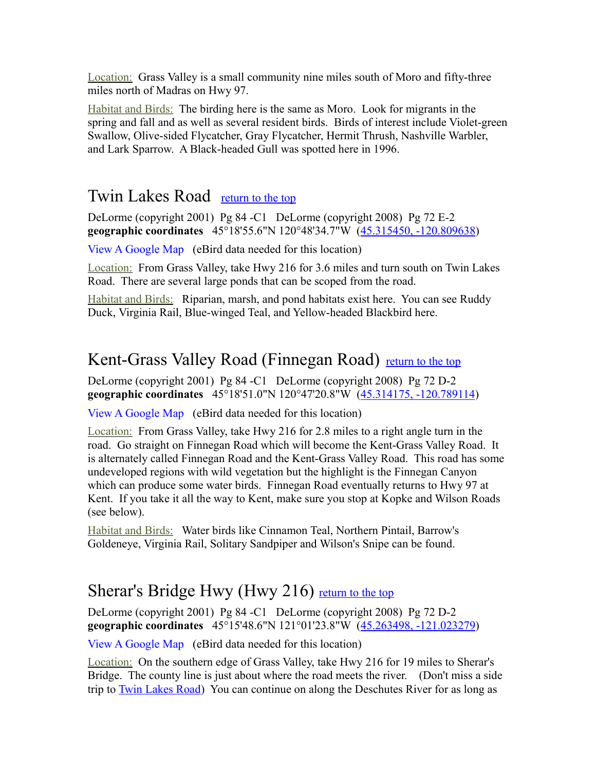Location: Grass Valley is a small community nine miles south of Moro and fifty-three miles north of Madras on Hwy 97.

Habitat and Birds: The birding here is the same as Moro. Look for migrants in the spring and fall and as well as several resident birds. Birds of interest include Violet-green Swallow, Olive-sided Flycatcher, Gray Flycatcher, Hermit Thrush, Nashville Warbler, and Lark Sparrow. A Black-headed Gull was spotted here in 1996.

#### <span id="page-9-0"></span>Twin Lakes Road [return to the top](#page-0-0)

DeLorme (copyright 2001) Pg 84 -C1 DeLorme (copyright 2008) Pg 72 E-2 **geographic coordinates** 45°18'55.6"N 120°48'34.7"W [\(45.315450, -120.809638\)](https://www.google.com/maps/place/45%C2%B018)

[View A Google Map](http://maps.google.com/maps/ms?hl=en&ie=UTF8&msa=0&msid=108036481085398338899.00046cd0514ac92dcb8e7&ll=45.274645,-120.784378&spn=0.379311,1.055374&z=11) (eBird data needed for this location)

Location: From Grass Valley, take Hwy 216 for 3.6 miles and turn south on Twin Lakes Road. There are several large ponds that can be scoped from the road.

Habitat and Birds: Riparian, marsh, and pond habitats exist here. You can see Ruddy Duck, Virginia Rail, Blue-winged Teal, and Yellow-headed Blackbird here.

## <span id="page-9-2"></span>Kent-Grass Valley Road (Finnegan Road) [return to the top](#page-0-0)

DeLorme (copyright 2001) Pg 84 -C1 DeLorme (copyright 2008) Pg 72 D-2 **geographic coordinates** 45°18'51.0"N 120°47'20.8"W [\(45.314175, -120.789114\)](https://www.google.com/maps/place/45%C2%B018)

[View A Google Map](http://maps.google.com/maps/ms?hl=en&ie=UTF8&msa=0&msid=108036481085398338899.00046cd0514ac92dcb8e7&ll=45.274645,-120.784378&spn=0.379311,1.055374&z=11) (eBird data needed for this location)

Location: From Grass Valley, take Hwy 216 for 2.8 miles to a right angle turn in the road. Go straight on Finnegan Road which will become the Kent-Grass Valley Road. It is alternately called Finnegan Road and the Kent-Grass Valley Road. This road has some undeveloped regions with wild vegetation but the highlight is the Finnegan Canyon which can produce some water birds. Finnegan Road eventually returns to Hwy 97 at Kent. If you take it all the way to Kent, make sure you stop at Kopke and Wilson Roads (see below).

Habitat and Birds: Water birds like Cinnamon Teal, Northern Pintail, Barrow's Goldeneye, Virginia Rail, Solitary Sandpiper and Wilson's Snipe can be found.

## <span id="page-9-1"></span>Sherar's Bridge Hwy (Hwy 216) [return to the top](#page-0-0)

DeLorme (copyright 2001) Pg 84 -C1 DeLorme (copyright 2008) Pg 72 D-2 **geographic coordinates** 45°15'48.6"N 121°01'23.8"W [\(45.263498, -121.023279\)](https://www.google.com/maps/place/45%C2%B015)

[View A Google Map](http://maps.google.com/maps/ms?hl=en&ie=UTF8&msa=0&msid=108036481085398338899.00046cd0514ac92dcb8e7&ll=45.274645,-120.784378&spn=0.379311,1.055374&z=11) (eBird data needed for this location)

Location: On the southern edge of Grass Valley, take Hwy 216 for 19 miles to Sherar's Bridge. The county line is just about where the road meets the river. (Don't miss a side trip to [Twin Lakes Road\)](#page-9-0) You can continue on along the Deschutes River for as long as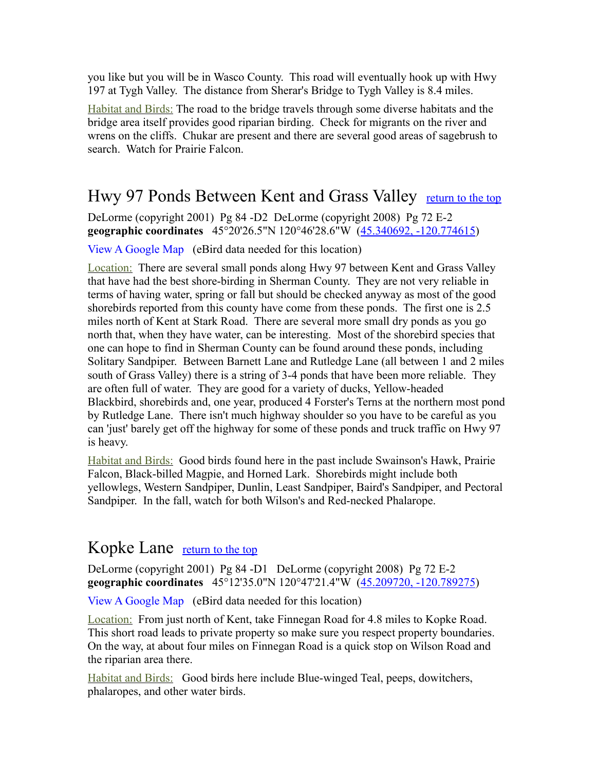you like but you will be in Wasco County. This road will eventually hook up with Hwy 197 at Tygh Valley. The distance from Sherar's Bridge to Tygh Valley is 8.4 miles.

Habitat and Birds: The road to the bridge travels through some diverse habitats and the bridge area itself provides good riparian birding. Check for migrants on the river and wrens on the cliffs. Chukar are present and there are several good areas of sagebrush to search. Watch for Prairie Falcon.

## <span id="page-10-1"></span>Hwy 97 Ponds Between Kent and Grass Valley [return to the top](#page-0-0)

DeLorme (copyright 2001) Pg 84 -D2 DeLorme (copyright 2008) Pg 72 E-2 **geographic coordinates** 45°20'26.5"N 120°46'28.6"W [\(45.340692, -120.774615\)](https://www.google.com/maps/place/45%C2%B020)

[View A Google Map](http://maps.google.com/maps/ms?hl=en&ie=UTF8&msa=0&msid=108036481085398338899.00046cd0514ac92dcb8e7&ll=45.274645,-120.784378&spn=0.379311,1.055374&z=11) (eBird data needed for this location)

Location: There are several small ponds along Hwy 97 between Kent and Grass Valley that have had the best shore-birding in Sherman County. They are not very reliable in terms of having water, spring or fall but should be checked anyway as most of the good shorebirds reported from this county have come from these ponds. The first one is 2.5 miles north of Kent at Stark Road. There are several more small dry ponds as you go north that, when they have water, can be interesting. Most of the shorebird species that one can hope to find in Sherman County can be found around these ponds, including Solitary Sandpiper. Between Barnett Lane and Rutledge Lane (all between 1 and 2 miles south of Grass Valley) there is a string of 3-4 ponds that have been more reliable. They are often full of water. They are good for a variety of ducks, Yellow-headed Blackbird, shorebirds and, one year, produced 4 Forster's Terns at the northern most pond by Rutledge Lane. There isn't much highway shoulder so you have to be careful as you can 'just' barely get off the highway for some of these ponds and truck traffic on Hwy 97 is heavy.

Habitat and Birds: Good birds found here in the past include Swainson's Hawk, Prairie Falcon, Black-billed Magpie, and Horned Lark. Shorebirds might include both yellowlegs, Western Sandpiper, Dunlin, Least Sandpiper, Baird's Sandpiper, and Pectoral Sandpiper. In the fall, watch for both Wilson's and Red-necked Phalarope.

#### <span id="page-10-0"></span>Kopke Lane [return to the top](#page-0-0)

DeLorme (copyright 2001) Pg 84 -D1 DeLorme (copyright 2008) Pg 72 E-2 **geographic coordinates** 45°12'35.0"N 120°47'21.4"W [\(45.209720, -120.789275\)](https://www.google.com/maps/place/45%C2%B012)

[View A Google Map](http://maps.google.com/maps/ms?hl=en&ie=UTF8&msa=0&msid=108036481085398338899.00046cd0514ac92dcb8e7&ll=45.274645,-120.784378&spn=0.379311,1.055374&z=11) (eBird data needed for this location)

Location: From just north of Kent, take Finnegan Road for 4.8 miles to Kopke Road. This short road leads to private property so make sure you respect property boundaries. On the way, at about four miles on Finnegan Road is a quick stop on Wilson Road and the riparian area there.

Habitat and Birds: Good birds here include Blue-winged Teal, peeps, dowitchers, phalaropes, and other water birds.